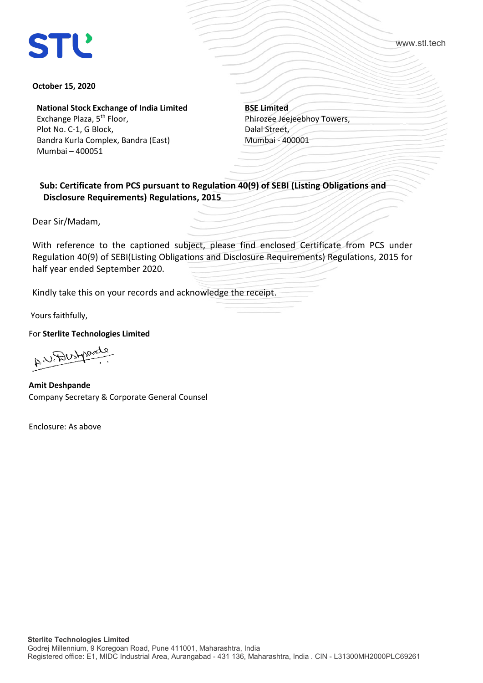## **STL**

www.stl.tech

## **October 15, 2020**

**National Stock Exchange of India Limited**

Exchange Plaza, 5<sup>th</sup> Floor, Plot No. C-1, G Block, Bandra Kurla Complex, Bandra (East) Mumbai – 400051

**BSE Limited** Phirozee Jeejeebhoy Towers, Dalal Street, Mumbai - 400001

 **Sub: Certificate from PCS pursuant to Regulation 40(9) of SEBI (Listing Obligations and Disclosure Requirements) Regulations, 2015**

Dear Sir/Madam,

With reference to the captioned subject, please find enclosed Certificate from PCS under Regulation 40(9) of SEBI(Listing Obligations and Disclosure Requirements) Regulations, 2015 for half year ended September 2020.

Kindly take this on your records and acknowledge the receipt.

Yours faithfully,

For **Sterlite Technologies Limited**

AN Destroyed

**Amit Deshpande** Company Secretary & Corporate General Counsel

Enclosure: As above